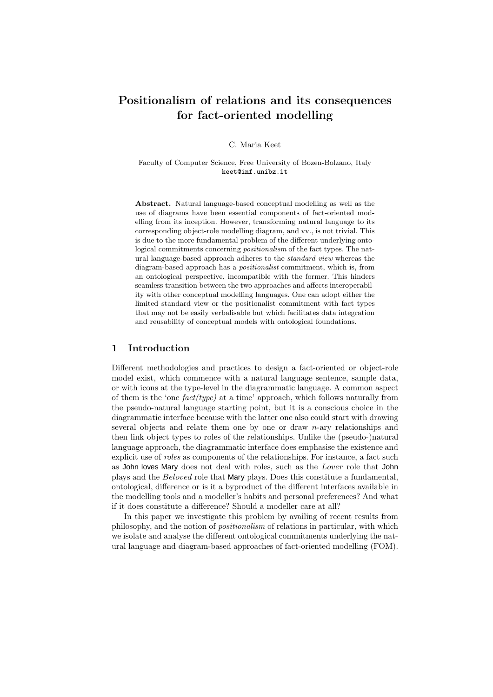# Positionalism of relations and its consequences for fact-oriented modelling

C. Maria Keet

Faculty of Computer Science, Free University of Bozen-Bolzano, Italy keet@inf.unibz.it

Abstract. Natural language-based conceptual modelling as well as the use of diagrams have been essential components of fact-oriented modelling from its inception. However, transforming natural language to its corresponding object-role modelling diagram, and vv., is not trivial. This is due to the more fundamental problem of the different underlying ontological commitments concerning positionalism of the fact types. The natural language-based approach adheres to the standard view whereas the diagram-based approach has a positionalist commitment, which is, from an ontological perspective, incompatible with the former. This hinders seamless transition between the two approaches and affects interoperability with other conceptual modelling languages. One can adopt either the limited standard view or the positionalist commitment with fact types that may not be easily verbalisable but which facilitates data integration and reusability of conceptual models with ontological foundations.

## 1 Introduction

Different methodologies and practices to design a fact-oriented or object-role model exist, which commence with a natural language sentence, sample data, or with icons at the type-level in the diagrammatic language. A common aspect of them is the 'one  $fact(type)$  at a time' approach, which follows naturally from the pseudo-natural language starting point, but it is a conscious choice in the diagrammatic interface because with the latter one also could start with drawing several objects and relate them one by one or draw  $n$ -ary relationships and then link object types to roles of the relationships. Unlike the (pseudo-)natural language approach, the diagrammatic interface does emphasise the existence and explicit use of roles as components of the relationships. For instance, a fact such as John loves Mary does not deal with roles, such as the Lover role that John plays and the Beloved role that Mary plays. Does this constitute a fundamental, ontological, difference or is it a byproduct of the different interfaces available in the modelling tools and a modeller's habits and personal preferences? And what if it does constitute a difference? Should a modeller care at all?

In this paper we investigate this problem by availing of recent results from philosophy, and the notion of positionalism of relations in particular, with which we isolate and analyse the different ontological commitments underlying the natural language and diagram-based approaches of fact-oriented modelling (FOM).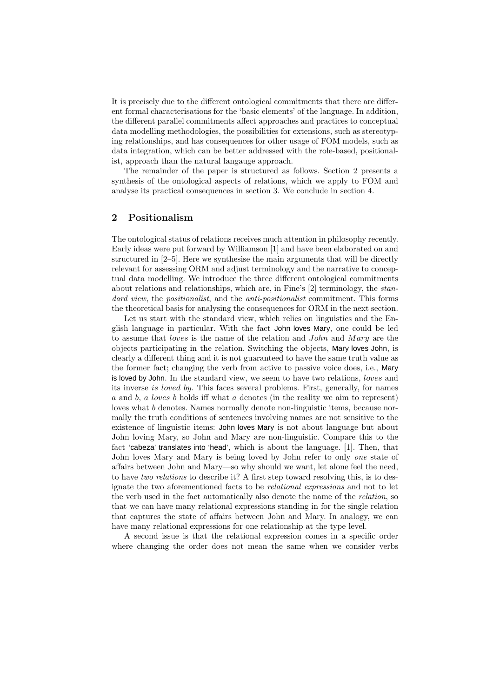It is precisely due to the different ontological commitments that there are different formal characterisations for the 'basic elements' of the language. In addition, the different parallel commitments affect approaches and practices to conceptual data modelling methodologies, the possibilities for extensions, such as stereotyping relationships, and has consequences for other usage of FOM models, such as data integration, which can be better addressed with the role-based, positionalist, approach than the natural langauge approach.

The remainder of the paper is structured as follows. Section 2 presents a synthesis of the ontological aspects of relations, which we apply to FOM and analyse its practical consequences in section 3. We conclude in section 4.

# 2 Positionalism

The ontological status of relations receives much attention in philosophy recently. Early ideas were put forward by Williamson [1] and have been elaborated on and structured in [2–5]. Here we synthesise the main arguments that will be directly relevant for assessing ORM and adjust terminology and the narrative to conceptual data modelling. We introduce the three different ontological commitments about relations and relationships, which are, in Fine's [2] terminology, the standard view, the positionalist, and the anti-positionalist commitment. This forms the theoretical basis for analysing the consequences for ORM in the next section.

Let us start with the standard view, which relies on linguistics and the English language in particular. With the fact John loves Mary, one could be led to assume that *loves* is the name of the relation and *John* and *Mary* are the objects participating in the relation. Switching the objects, Mary loves John, is clearly a different thing and it is not guaranteed to have the same truth value as the former fact; changing the verb from active to passive voice does, i.e., Mary is loved by John. In the standard view, we seem to have two relations, loves and its inverse is loved by. This faces several problems. First, generally, for names a and b, a loves b holds iff what a denotes (in the reality we aim to represent) loves what b denotes. Names normally denote non-linguistic items, because normally the truth conditions of sentences involving names are not sensitive to the existence of linguistic items: John loves Mary is not about language but about John loving Mary, so John and Mary are non-linguistic. Compare this to the fact 'cabeza' translates into 'head', which is about the language. [1]. Then, that John loves Mary and Mary is being loved by John refer to only *one* state of affairs between John and Mary—so why should we want, let alone feel the need, to have two relations to describe it? A first step toward resolving this, is to designate the two aforementioned facts to be relational expressions and not to let the verb used in the fact automatically also denote the name of the relation, so that we can have many relational expressions standing in for the single relation that captures the state of affairs between John and Mary. In analogy, we can have many relational expressions for one relationship at the type level.

A second issue is that the relational expression comes in a specific order where changing the order does not mean the same when we consider verbs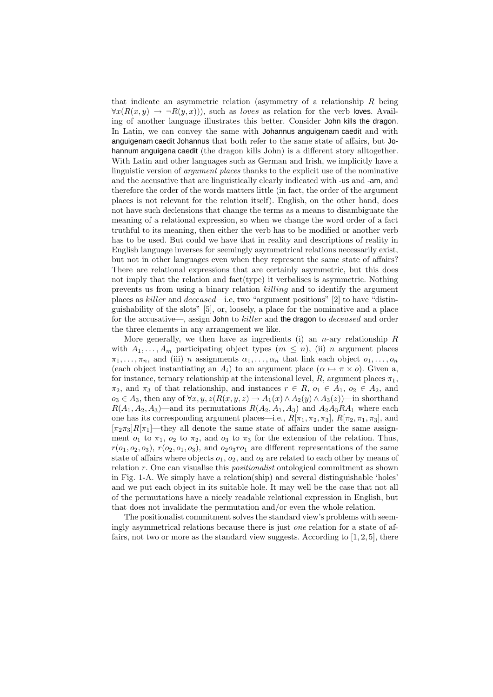that indicate an asymmetric relation (asymmetry of a relationship  $R$  being  $\forall x(R(x,y) \rightarrow \neg R(y,x))$ , such as loves as relation for the verb loves. Availing of another language illustrates this better. Consider John kills the dragon. In Latin, we can convey the same with Johannus anguigenam caedit and with anguigenam caedit Johannus that both refer to the same state of affairs, but Johannum anguigena caedit (the dragon kills John) is a different story alltogether. With Latin and other languages such as German and Irish, we implicitly have a linguistic version of argument places thanks to the explicit use of the nominative and the accusative that are linguistically clearly indicated with -us and -am, and therefore the order of the words matters little (in fact, the order of the argument places is not relevant for the relation itself). English, on the other hand, does not have such declensions that change the terms as a means to disambiguate the meaning of a relational expression, so when we change the word order of a fact truthful to its meaning, then either the verb has to be modified or another verb has to be used. But could we have that in reality and descriptions of reality in English language inverses for seemingly asymmetrical relations necessarily exist, but not in other languages even when they represent the same state of affairs? There are relational expressions that are certainly asymmetric, but this does not imply that the relation and fact(type) it verbalises is asymmetric. Nothing prevents us from using a binary relation killing and to identify the argument places as killer and deceased—i.e, two "argument positions" [2] to have "distinguishability of the slots" [5], or, loosely, a place for the nominative and a place for the accusative—, assign John to killer and the dragon to deceased and order the three elements in any arrangement we like.

More generally, we then have as ingredients (i) an n-ary relationship  $R$ with  $A_1, \ldots, A_m$  participating object types  $(m \leq n)$ , (ii) n argument places  $\pi_1, \ldots, \pi_n$ , and (iii) n assignments  $\alpha_1, \ldots, \alpha_n$  that link each object  $o_1, \ldots, o_n$ (each object instantiating an  $A_i$ ) to an argument place  $(\alpha \mapsto \pi \times o)$ . Given a, for instance, ternary relationship at the intensional level, R, argument places  $\pi_1$ ,  $\pi_2$ , and  $\pi_3$  of that relationship, and instances  $r \in R$ ,  $o_1 \in A_1$ ,  $o_2 \in A_2$ , and  $o_3 \in A_3$ , then any of  $\forall x, y, z(R(x, y, z) \rightarrow A_1(x) \land A_2(y) \land A_3(z))$ —in shorthand  $R(A_1, A_2, A_3)$ —and its permutations  $R(A_2, A_1, A_3)$  and  $A_2A_3RA_1$  where each one has its corresponding argument places—i.e.,  $R[\pi_1, \pi_2, \pi_3]$ ,  $R[\pi_2, \pi_1, \pi_3]$ , and  $[\pi_2\pi_3]R[\pi_1]$ —they all denote the same state of affairs under the same assignment  $o_1$  to  $\pi_1$ ,  $o_2$  to  $\pi_2$ , and  $o_3$  to  $\pi_3$  for the extension of the relation. Thus,  $r(o_1, o_2, o_3)$ ,  $r(o_2, o_1, o_3)$ , and  $o_2o_3ro_1$  are different representations of the same state of affairs where objects  $o_1$ ,  $o_2$ , and  $o_3$  are related to each other by means of relation r. One can visualise this *positionalist* ontological commitment as shown in Fig. 1-A. We simply have a relation(ship) and several distinguishable 'holes' and we put each object in its suitable hole. It may well be the case that not all of the permutations have a nicely readable relational expression in English, but that does not invalidate the permutation and/or even the whole relation.

The positionalist commitment solves the standard view's problems with seemingly asymmetrical relations because there is just one relation for a state of affairs, not two or more as the standard view suggests. According to  $[1, 2, 5]$ , there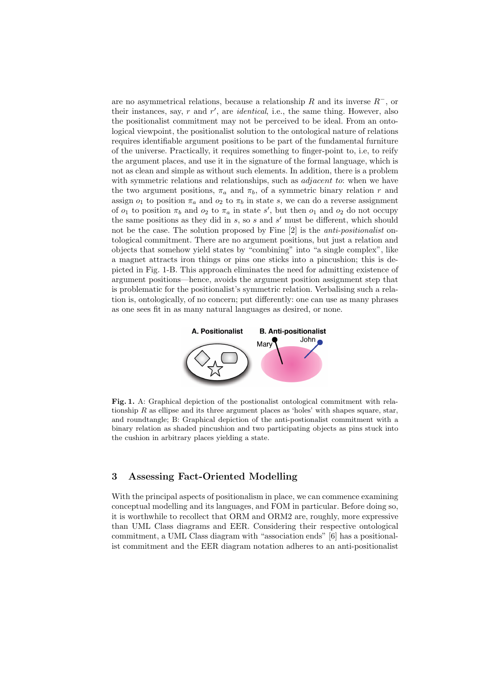are no asymmetrical relations, because a relationship R and its inverse  $R^-$ , or their instances, say, r and r', are *identical*, i.e., the same thing. However, also the positionalist commitment may not be perceived to be ideal. From an ontological viewpoint, the positionalist solution to the ontological nature of relations requires identifiable argument positions to be part of the fundamental furniture of the universe. Practically, it requires something to finger-point to, i.e, to reify the argument places, and use it in the signature of the formal language, which is not as clean and simple as without such elements. In addition, there is a problem with symmetric relations and relationships, such as  $adjacent\ to:$  when we have the two argument positions,  $\pi_a$  and  $\pi_b$ , of a symmetric binary relation r and assign  $o_1$  to position  $\pi_a$  and  $o_2$  to  $\pi_b$  in state s, we can do a reverse assignment of  $o_1$  to position  $\pi_b$  and  $o_2$  to  $\pi_a$  in state s', but then  $o_1$  and  $o_2$  do not occupy the same positions as they did in  $s$ , so  $s$  and  $s'$  must be different, which should not be the case. The solution proposed by Fine [2] is the *anti-positionalist* ontological commitment. There are no argument positions, but just a relation and objects that somehow yield states by "combining" into "a single complex", like a magnet attracts iron things or pins one sticks into a pincushion; this is depicted in Fig. 1-B. This approach eliminates the need for admitting existence of argument positions—hence, avoids the argument position assignment step that is problematic for the positionalist's symmetric relation. Verbalising such a relation is, ontologically, of no concern; put differently: one can use as many phrases as one sees fit in as many natural languages as desired, or none.



Fig. 1. A: Graphical depiction of the postionalist ontological commitment with relationship  $R$  as ellipse and its three argument places as 'holes' with shapes square, star, and roundtangle; B: Graphical depiction of the anti-postionalist commitment with a binary relation as shaded pincushion and two participating objects as pins stuck into the cushion in arbitrary places yielding a state.

# 3 Assessing Fact-Oriented Modelling

With the principal aspects of positionalism in place, we can commence examining conceptual modelling and its languages, and FOM in particular. Before doing so, it is worthwhile to recollect that ORM and ORM2 are, roughly, more expressive than UML Class diagrams and EER. Considering their respective ontological commitment, a UML Class diagram with "association ends" [6] has a positionalist commitment and the EER diagram notation adheres to an anti-positionalist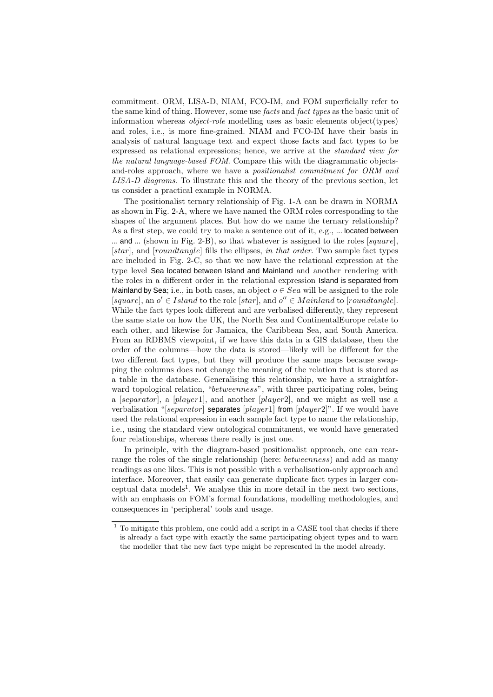commitment. ORM, LISA-D, NIAM, FCO-IM, and FOM superficially refer to the same kind of thing. However, some use facts and fact types as the basic unit of information whereas object-role modelling uses as basic elements object(types) and roles, i.e., is more fine-grained. NIAM and FCO-IM have their basis in analysis of natural language text and expect those facts and fact types to be expressed as relational expressions; hence, we arrive at the standard view for the natural language-based FOM. Compare this with the diagrammatic objectsand-roles approach, where we have a positionalist commitment for ORM and LISA-D diagrams. To illustrate this and the theory of the previous section, let us consider a practical example in NORMA.

The positionalist ternary relationship of Fig. 1-A can be drawn in NORMA as shown in Fig. 2-A, where we have named the ORM roles corresponding to the shapes of the argument places. But how do we name the ternary relationship? As a first step, we could try to make a sentence out of it, e.g., ... located between ... and ... (shown in Fig. 2-B), so that whatever is assigned to the roles [square], [star], and [roundtangle] fills the ellipses, in that order. Two sample fact types are included in Fig. 2-C, so that we now have the relational expression at the type level Sea located between Island and Mainland and another rendering with the roles in a different order in the relational expression Island is separated from Mainland by Sea; i.e., in both cases, an object  $o \in Sea$  will be assigned to the role [square], an  $o' \in Island$  to the role [star], and  $o'' \in Mainland$  to [roundtangle]. While the fact types look different and are verbalised differently, they represent the same state on how the UK, the North Sea and ContinentalEurope relate to each other, and likewise for Jamaica, the Caribbean Sea, and South America. From an RDBMS viewpoint, if we have this data in a GIS database, then the order of the columns—how the data is stored—likely will be different for the two different fact types, but they will produce the same maps because swapping the columns does not change the meaning of the relation that is stored as a table in the database. Generalising this relationship, we have a straightforward topological relation, "betweenness", with three participating roles, being a [separator], a [player1], and another [player2], and we might as well use a verbalisation "[separator] separates  $[player 1]$  from  $[player 2]$ ". If we would have used the relational expression in each sample fact type to name the relationship, i.e., using the standard view ontological commitment, we would have generated four relationships, whereas there really is just one.

In principle, with the diagram-based positionalist approach, one can rearrange the roles of the single relationship (here: *betweenness*) and add as many readings as one likes. This is not possible with a verbalisation-only approach and interface. Moreover, that easily can generate duplicate fact types in larger conceptual data models<sup>1</sup>. We analyse this in more detail in the next two sections, with an emphasis on FOM's formal foundations, modelling methodologies, and consequences in 'peripheral' tools and usage.

 $1$  To mitigate this problem, one could add a script in a CASE tool that checks if there is already a fact type with exactly the same participating object types and to warn the modeller that the new fact type might be represented in the model already.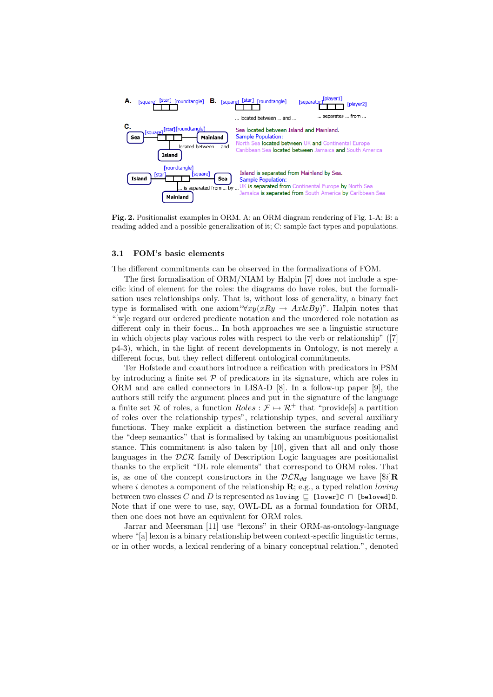

Fig. 2. Positionalist examples in ORM. A: an ORM diagram rendering of Fig. 1-A; B: a reading added and a possible generalization of it; C: sample fact types and populations.

#### 3.1 FOM's basic elements

The different commitments can be observed in the formalizations of FOM.

The first formalisation of ORM/NIAM by Halpin [7] does not include a specific kind of element for the roles: the diagrams do have roles, but the formalisation uses relationships only. That is, without loss of generality, a binary fact type is formalised with one axiom  $\forall x y(xRy \rightarrow Ax\&By)$ ". Halpin notes that "[w]e regard our ordered predicate notation and the unordered role notation as different only in their focus... In both approaches we see a linguistic structure in which objects play various roles with respect to the verb or relationship" ([7] p4-3), which, in the light of recent developments in Ontology, is not merely a different focus, but they reflect different ontological commitments.

Ter Hofstede and coauthors introduce a reification with predicators in PSM by introducing a finite set  $\mathcal P$  of predicators in its signature, which are roles in ORM and are called connectors in LISA-D [8]. In a follow-up paper [9], the authors still reify the argument places and put in the signature of the language a finite set R of roles, a function  $Roles : \mathcal{F} \mapsto \mathcal{R}^+$  that "provides a partition of roles over the relationship types", relationship types, and several auxiliary functions. They make explicit a distinction between the surface reading and the "deep semantics" that is formalised by taking an unambiguous positionalist stance. This commitment is also taken by [10], given that all and only those languages in the  $DLR$  family of Description Logic languages are positionalist thanks to the explicit "DL role elements" that correspond to ORM roles. That is, as one of the concept constructors in the  $D\mathcal{LR}_{\mathsf{ifd}}$  language we have  $[\$i]$ **R** where i denotes a component of the relationship  $\mathbf{R}$ ; e.g., a typed relation loving between two classes  $C$  and  $D$  is represented as loving  $\sqsubseteq\;$  [lover]C  $\sqcap\;$  [beloved]D. Note that if one were to use, say, OWL-DL as a formal foundation for ORM, then one does not have an equivalent for ORM roles.

Jarrar and Meersman [11] use "lexons" in their ORM-as-ontology-language where "[a] lexon is a binary relationship between context-specific linguistic terms, or in other words, a lexical rendering of a binary conceptual relation.", denoted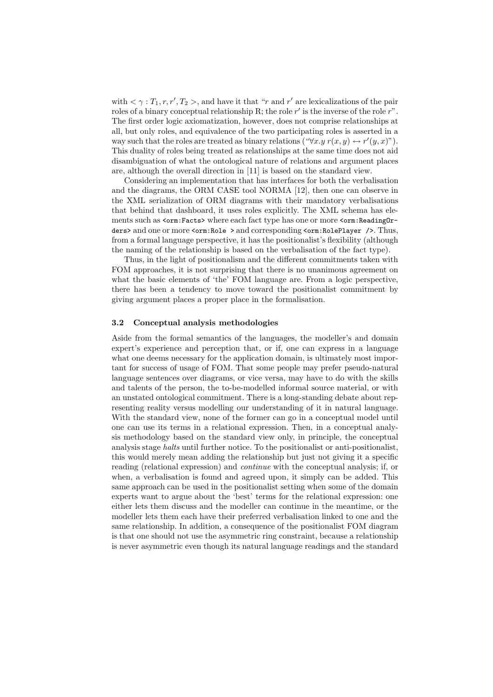with  $\langle \gamma : T_1, r, r', T_2 \rangle$ , and have it that "r and r' are lexicalizations of the pair roles of a binary conceptual relationship R; the role  $r'$  is the inverse of the role  $r''$ . The first order logic axiomatization, however, does not comprise relationships at all, but only roles, and equivalence of the two participating roles is asserted in a way such that the roles are treated as binary relations (" $\forall x \, y \, r(x, y) \leftrightarrow r'(y, x)$ "). This duality of roles being treated as relationships at the same time does not aid disambiguation of what the ontological nature of relations and argument places are, although the overall direction in [11] is based on the standard view.

Considering an implementation that has interfaces for both the verbalisation and the diagrams, the ORM CASE tool NORMA [12], then one can observe in the XML serialization of ORM diagrams with their mandatory verbalisations that behind that dashboard, it uses roles explicitly. The XML schema has elements such as  $\zeta$ orm:Facts> where each fact type has one or more  $\zeta$ orm:ReadingOrders> and one or more <orm:Role > and corresponding <orm:RolePlayer />. Thus, from a formal language perspective, it has the positionalist's flexibility (although the naming of the relationship is based on the verbalisation of the fact type).

Thus, in the light of positionalism and the different commitments taken with FOM approaches, it is not surprising that there is no unanimous agreement on what the basic elements of 'the' FOM language are. From a logic perspective, there has been a tendency to move toward the positionalist commitment by giving argument places a proper place in the formalisation.

### 3.2 Conceptual analysis methodologies

Aside from the formal semantics of the languages, the modeller's and domain expert's experience and perception that, or if, one can express in a language what one deems necessary for the application domain, is ultimately most important for success of usage of FOM. That some people may prefer pseudo-natural language sentences over diagrams, or vice versa, may have to do with the skills and talents of the person, the to-be-modelled informal source material, or with an unstated ontological commitment. There is a long-standing debate about representing reality versus modelling our understanding of it in natural language. With the standard view, none of the former can go in a conceptual model until one can use its terms in a relational expression. Then, in a conceptual analysis methodology based on the standard view only, in principle, the conceptual analysis stage halts until further notice. To the positionalist or anti-positionalist, this would merely mean adding the relationship but just not giving it a specific reading (relational expression) and continue with the conceptual analysis; if, or when, a verbalisation is found and agreed upon, it simply can be added. This same approach can be used in the positionalist setting when some of the domain experts want to argue about the 'best' terms for the relational expression: one either lets them discuss and the modeller can continue in the meantime, or the modeller lets them each have their preferred verbalisation linked to one and the same relationship. In addition, a consequence of the positionalist FOM diagram is that one should not use the asymmetric ring constraint, because a relationship is never asymmetric even though its natural language readings and the standard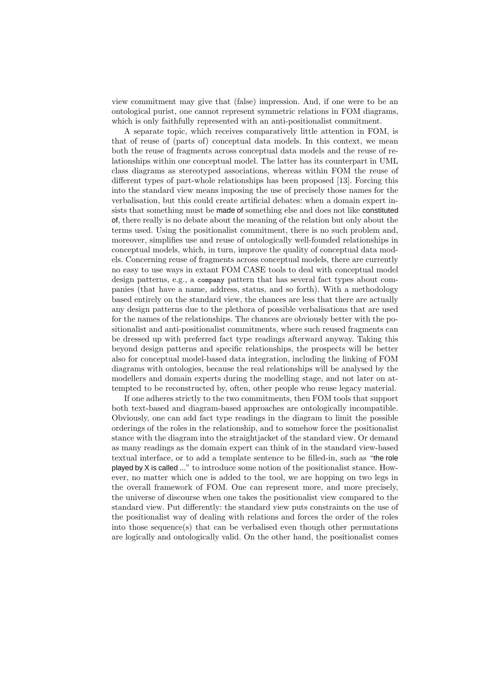view commitment may give that (false) impression. And, if one were to be an ontological purist, one cannot represent symmetric relations in FOM diagrams, which is only faithfully represented with an anti-positionalist commitment.

A separate topic, which receives comparatively little attention in FOM, is that of reuse of (parts of) conceptual data models. In this context, we mean both the reuse of fragments across conceptual data models and the reuse of relationships within one conceptual model. The latter has its counterpart in UML class diagrams as stereotyped associations, whereas within FOM the reuse of different types of part-whole relationships has been proposed [13]. Forcing this into the standard view means imposing the use of precisely those names for the verbalisation, but this could create artificial debates: when a domain expert insists that something must be **made of** something else and does not like **constituted** of, there really is no debate about the meaning of the relation but only about the terms used. Using the positionalist commitment, there is no such problem and, moreover, simplifies use and reuse of ontologically well-founded relationships in conceptual models, which, in turn, improve the quality of conceptual data models. Concerning reuse of fragments across conceptual models, there are currently no easy to use ways in extant FOM CASE tools to deal with conceptual model design patterns, e.g., a company pattern that has several fact types about companies (that have a name, address, status, and so forth). With a methodology based entirely on the standard view, the chances are less that there are actually any design patterns due to the plethora of possible verbalisations that are used for the names of the relationships. The chances are obviously better with the positionalist and anti-positionalist commitments, where such reused fragments can be dressed up with preferred fact type readings afterward anyway. Taking this beyond design patterns and specific relationships, the prospects will be better also for conceptual model-based data integration, including the linking of FOM diagrams with ontologies, because the real relationships will be analysed by the modellers and domain experts during the modelling stage, and not later on attempted to be reconstructed by, often, other people who reuse legacy material.

If one adheres strictly to the two commitments, then FOM tools that support both text-based and diagram-based approaches are ontologically incompatible. Obviously, one can add fact type readings in the diagram to limit the possible orderings of the roles in the relationship, and to somehow force the positionalist stance with the diagram into the straightjacket of the standard view. Or demand as many readings as the domain expert can think of in the standard view-based textual interface, or to add a template sentence to be filled-in, such as "the role played by X is called ..." to introduce some notion of the positionalist stance. However, no matter which one is added to the tool, we are hopping on two legs in the overall framework of FOM. One can represent more, and more precisely, the universe of discourse when one takes the positionalist view compared to the standard view. Put differently: the standard view puts constraints on the use of the positionalist way of dealing with relations and forces the order of the roles into those sequence(s) that can be verbalised even though other permutations are logically and ontologically valid. On the other hand, the positionalist comes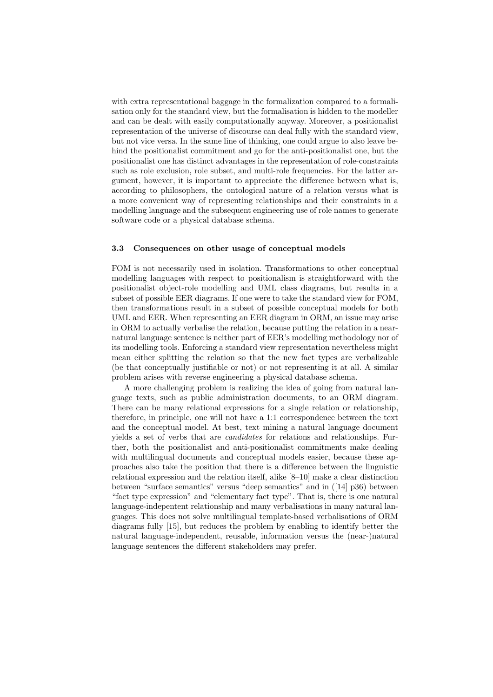with extra representational baggage in the formalization compared to a formalisation only for the standard view, but the formalisation is hidden to the modeller and can be dealt with easily computationally anyway. Moreover, a positionalist representation of the universe of discourse can deal fully with the standard view, but not vice versa. In the same line of thinking, one could argue to also leave behind the positionalist commitment and go for the anti-positionalist one, but the positionalist one has distinct advantages in the representation of role-constraints such as role exclusion, role subset, and multi-role frequencies. For the latter argument, however, it is important to appreciate the difference between what is, according to philosophers, the ontological nature of a relation versus what is a more convenient way of representing relationships and their constraints in a modelling language and the subsequent engineering use of role names to generate software code or a physical database schema.

#### 3.3 Consequences on other usage of conceptual models

FOM is not necessarily used in isolation. Transformations to other conceptual modelling languages with respect to positionalism is straightforward with the positionalist object-role modelling and UML class diagrams, but results in a subset of possible EER diagrams. If one were to take the standard view for FOM, then transformations result in a subset of possible conceptual models for both UML and EER. When representing an EER diagram in ORM, an issue may arise in ORM to actually verbalise the relation, because putting the relation in a nearnatural language sentence is neither part of EER's modelling methodology nor of its modelling tools. Enforcing a standard view representation nevertheless might mean either splitting the relation so that the new fact types are verbalizable (be that conceptually justifiable or not) or not representing it at all. A similar problem arises with reverse engineering a physical database schema.

A more challenging problem is realizing the idea of going from natural language texts, such as public administration documents, to an ORM diagram. There can be many relational expressions for a single relation or relationship, therefore, in principle, one will not have a 1:1 correspondence between the text and the conceptual model. At best, text mining a natural language document yields a set of verbs that are candidates for relations and relationships. Further, both the positionalist and anti-positionalist commitments make dealing with multilingual documents and conceptual models easier, because these approaches also take the position that there is a difference between the linguistic relational expression and the relation itself, alike [8–10] make a clear distinction between "surface semantics" versus "deep semantics" and in ([14] p36) between "fact type expression" and "elementary fact type". That is, there is one natural language-indepentent relationship and many verbalisations in many natural languages. This does not solve multilingual template-based verbalisations of ORM diagrams fully [15], but reduces the problem by enabling to identify better the natural language-independent, reusable, information versus the (near-)natural language sentences the different stakeholders may prefer.